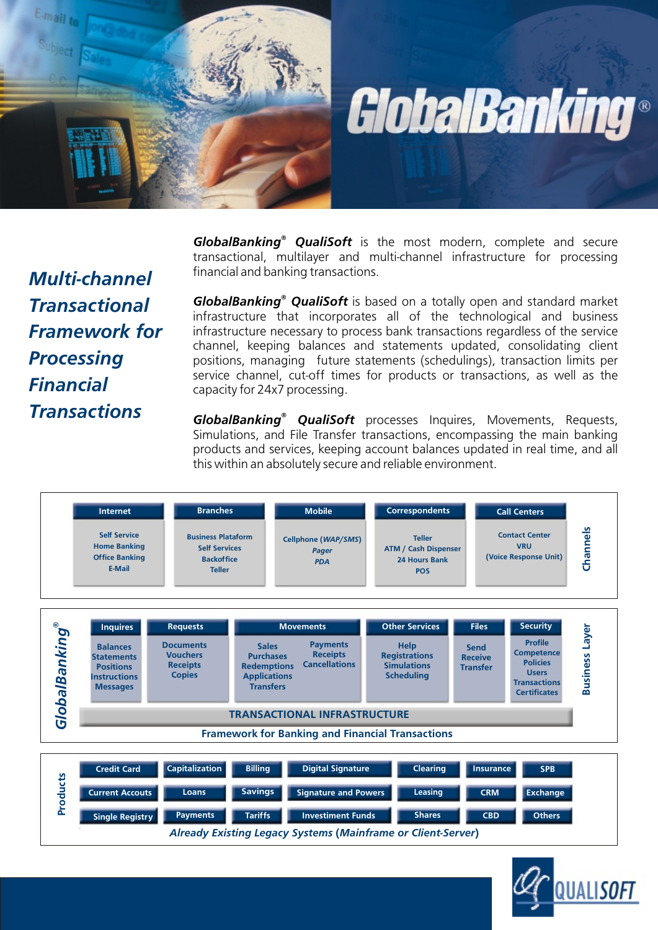

GlobalBanking®

*® GlobalBanking QualiSoft* is the most modern, complete and secure transactional, multilayer and multi-channel infrastructure for processing financial and banking transactions.

*Multi-channel Transactional Framework for Processing Financial Transactions*

*GlobalBanking* **QualiSoft** is based on a totally open and standard market infrastructure that incorporates all of the technological and business infrastructure necessary to process bank transactions regardless of the service channel, keeping balances and statements updated, consolidating client positions, managing future statements (schedulings), transaction limits per service channel, cut-off times for products or transactions, as well as the capacity for 24x7 processing.

*GlobalBanking<sup>®</sup> QualiSoft* processes Inquires, Movements, Requests, Simulations, and File Transfer transactions, encompassing the main banking products and services, keeping account balances updated in real time, and all this within an absolutely secure and reliable environment.